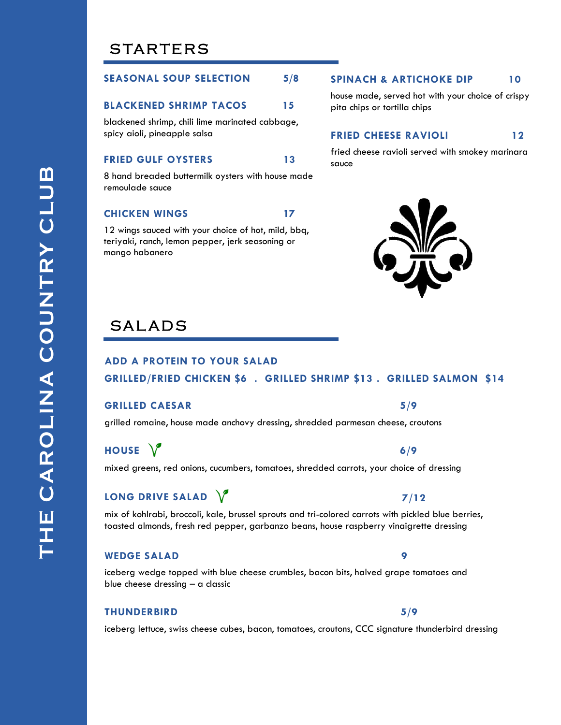# **STARTERS**

## **SEASONAL SOUP SELECTION 5/8**

#### **BLACKENED SHRIMP TACOS 15**

blackened shrimp, chili lime marinated cabbage, spicy aioli, pineapple salsa

## **FRIED GULF OYSTERS 13**

8 hand breaded buttermilk oysters with house made remoulade sauce

#### **CHICKEN WINGS 17**

12 wings sauced with your choice of hot, mild, bbq, teriyaki, ranch, lemon pepper, jerk seasoning or mango habanero

#### **SPINACH & ARTICHOKE DIP 10**

house made, served hot with your choice of crispy pita chips or tortilla chips

## **FRIED CHEESE RAVIOLI** 12

fried cheese ravioli served with smokey marinara sauce



# **SALADS**

## **ADD A PROTEIN TO YOUR SALAD**

## **GRILLED/FRIED CHICKEN \$6 . GRILLED SHRIMP \$13 . GRILLED SALMON \$14**

## **GRILLED CAESAR 5/9**

grilled romaine, house made anchovy dressing, shredded parmesan cheese, croutons

**HOUSE**  $\sqrt{}$  6/9

mixed greens, red onions, cucumbers, tomatoes, shredded carrots, your choice of dressing

## **LONG DRIVE SALAD 7/12**

mix of kohlrabi, broccoli, kale, brussel sprouts and tri-colored carrots with pickled blue berries, toasted almonds, fresh red pepper, garbanzo beans, house raspberry vinaigrette dressing

#### **WEDGE SALAD 9**

iceberg wedge topped with blue cheese crumbles, bacon bits, halved grape tomatoes and blue cheese dressing – a classic

#### **THUNDERBIRD 5/9**

iceberg lettuce, swiss cheese cubes, bacon, tomatoes, croutons, CCC signature thunderbird dressing